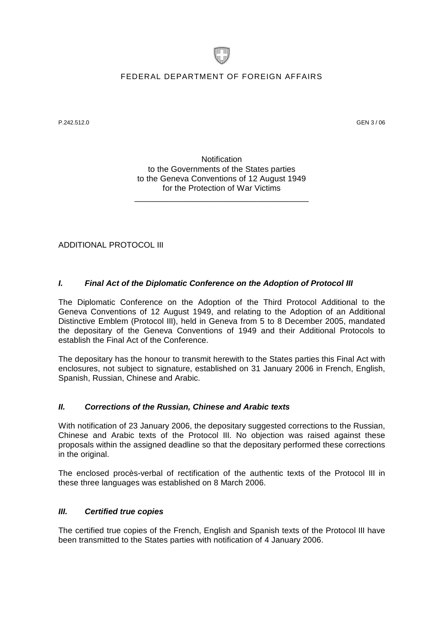

## FEDERAL DEPARTMENT OF FOREIGN AFFAIRS

P.242.512.0 GEN 3 / 06

**Notification** to the Governments of the States parties to the Geneva Conventions of 12 August 1949 for the Protection of War Victims

\_\_\_\_\_\_\_\_\_\_\_\_\_\_\_\_\_\_\_\_\_\_\_\_\_\_\_\_\_\_\_\_\_\_\_\_\_\_

ADDITIONAL PROTOCOL III

### *I. Final Act of the Diplomatic Conference on the Adoption of Protocol III*

The Diplomatic Conference on the Adoption of the Third Protocol Additional to the Geneva Conventions of 12 August 1949, and relating to the Adoption of an Additional Distinctive Emblem (Protocol III), held in Geneva from 5 to 8 December 2005, mandated the depositary of the Geneva Conventions of 1949 and their Additional Protocols to establish the Final Act of the Conference.

The depositary has the honour to transmit herewith to the States parties this Final Act with enclosures, not subject to signature, established on 31 January 2006 in French, English, Spanish, Russian, Chinese and Arabic.

### *II. Corrections of the Russian, Chinese and Arabic texts*

With notification of 23 January 2006, the depositary suggested corrections to the Russian, Chinese and Arabic texts of the Protocol III. No objection was raised against these proposals within the assigned deadline so that the depositary performed these corrections in the original.

The enclosed procès-verbal of rectification of the authentic texts of the Protocol III in these three languages was established on 8 March 2006.

### *III. Certified true copies*

The certified true copies of the French, English and Spanish texts of the Protocol III have been transmitted to the States parties with notification of 4 January 2006.